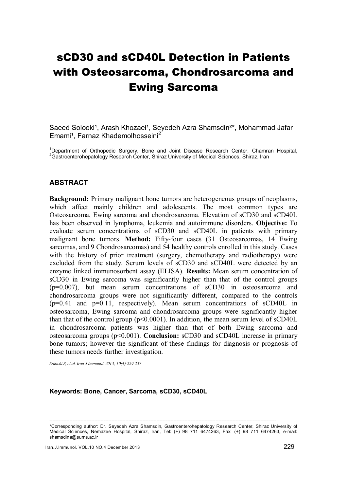# sCD30 and sCD40L Detection in Patients with Osteosarcoma, Chondrosarcoma and Ewing Sarcoma

Saeed Solooki<sup>1</sup>, Arash Khozaei<sup>1</sup>, Seyedeh Azra Shamsdin<sup>2\*</sup>, Mohammad Jafar Emami<sup>1</sup>, Farnaz Khademolhosseini<sup>2</sup>

<sup>1</sup>Department of Orthopedic Surgery, Bone and Joint Disease Research Center, Chamran Hospital, <sup>2</sup>Gastroenterohepatology Research Center, Shiraz University of Medical Sciences, Shiraz, Iran

### ABSTRACT

Background: Primary malignant bone tumors are heterogeneous groups of neoplasms, which affect mainly children and adolescents. The most common types are Osteosarcoma, Ewing sarcoma and chondrosarcoma. Elevation of sCD30 and sCD40L has been observed in lymphoma, leukemia and autoimmune disorders. Objective: To evaluate serum concentrations of sCD30 and sCD40L in patients with primary malignant bone tumors. Method: Fifty-four cases (31 Osteosarcomas, 14 Ewing sarcomas, and 9 Chondrosarcomas) and 54 healthy controls enrolled in this study. Cases with the history of prior treatment (surgery, chemotherapy and radiotherapy) were excluded from the study. Serum levels of sCD30 and sCD40L were detected by an enzyme linked immunosorbent assay (ELISA). Results: Mean serum concentration of sCD30 in Ewing sarcoma was significantly higher than that of the control groups (p=0.007), but mean serum concentrations of sCD30 in osteosarcoma and chondrosarcoma groups were not significantly different, compared to the controls (p=0.41 and p=0.11, respectively). Mean serum concentrations of sCD40L in osteosarcoma, Ewing sarcoma and chondrosarcoma groups were significantly higher than that of the control group ( $p<0.0001$ ). In addition, the mean serum level of sCD40L in chondrosarcoma patients was higher than that of both Ewing sarcoma and osteosarcoma groups ( $p \le 0.001$ ). **Conclusion:** sCD30 and sCD40L increase in primary bone tumors; however the significant of these findings for diagnosis or prognosis of these tumors needs further investigation.

*Solooki S, et al. Iran J Immunol. 2013; 10(4):229-237* 

#### Keywords: Bone, Cancer, Sarcoma, sCD30, sCD40L

<sup>--------------------------------------------------------------------------------------------------------------------------------------------------</sup>  \*Corresponding author: Dr. Seyedeh Azra Shamsdin, Gastroenterohepatology Research Center, Shiraz University of Medical Sciences, Nemazee Hospital, Shiraz, Iran, Tel: (+) 98 711 6474263, Fax: (+) 98 711 6474263, e-mail: shamsdina@sums.ac.ir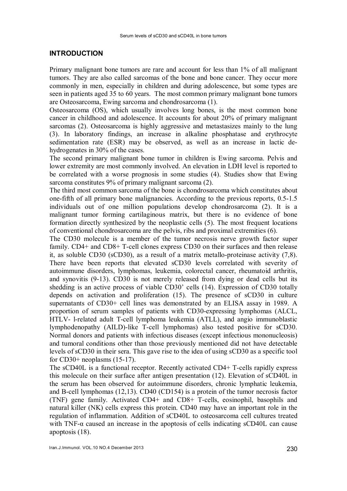#### INTRODUCTION

Primary malignant bone tumors are rare and account for less than 1% of all malignant tumors. They are also called sarcomas of the bone and bone cancer. They occur more commonly in men, especially in children and during adolescence, but some types are seen in patients aged 35 to 60 years. The most common primary malignant bone tumors are Osteosarcoma, Ewing sarcoma and chondrosarcoma (1).

Osteosarcoma (OS), which usually involves long bones, is the most common bone cancer in childhood and adolescence. It accounts for about 20% of primary malignant sarcomas (2). Osteosarcoma is highly aggressive and metastasizes mainly to the lung (3). In laboratory findings, an increase in alkaline phosphatase and erythrocyte sedimentation rate (ESR) may be observed, as well as an increase in lactic dehydrogenates in 30% of the cases.

The second primary malignant bone tumor in children is Ewing sarcoma. Pelvis and lower extremity are most commonly involved. An elevation in LDH level is reported to be correlated with a worse prognosis in some studies (4). Studies show that Ewing sarcoma constitutes 9% of primary malignant sarcoma (2).

The third most common sarcoma of the bone is chondrosarcoma which constitutes about one-fifth of all primary bone malignancies. According to the previous reports, 0.5-1.5 individuals out of one million populations develop chondrosarcoma (2). It is a malignant tumor forming cartilaginous matrix, but there is no evidence of bone formation directly synthesized by the neoplastic cells (5). The most frequent locations of conventional chondrosarcoma are the pelvis, ribs and proximal extremities (6).

The CD30 molecule is a member of the tumor necrosis nerve growth factor super family. CD4+ and CD8+ T-cell clones express CD30 on their surfaces and then release it, as soluble CD30 (sCD30), as a result of a matrix metallo-proteinase activity (7,8). There have been reports that elevated sCD30 levels correlated with severity of autoimmune disorders, lymphomas, leukemia, colorectal cancer, rheumatoid arthritis, and synovitis (9-13). CD30 is not merely released from dying or dead cells but its shedding is an active process of viable CD30' cells (14). Expression of CD30 totally depends on activation and proliferation (15). The presence of sCD30 in culture supernatants of CD30+ cell lines was demonstrated by an ELISA assay in 1989. A proportion of serum samples of patients with CD30-expressing lymphomas (ALCL, HTLV- l-related adult T-cell lymphoma leukemia (ATLL), and angio immunoblastic lymphodenopathy (AILD)-like T-cell lymphomas) also tested positive for sCD30. Normal donors and patients with infectious diseases (except infectious mononucleosis) and tumoral conditions other than those previously mentioned did not have detectable levels of sCD30 in their sera. This gave rise to the idea of using sCD30 as a specific tool for  $CD30+$  neoplasms  $(15-17)$ .

The sCD40L is a functional receptor. Recently activated CD4+ T-cells rapidly express this molecule on their surface after antigen presentation (12). Elevation of sCD40L in the serum has been observed for autoimmune disorders, chronic lymphatic leukemia, and B-cell lymphomas (12,13). CD40 (CD154) is a protein of the tumor necrosis factor (TNF) gene family. Activated CD4+ and CD8+ T-cells, eosinophil, basophils and natural killer (NK) cells express this protein. CD40 may have an important role in the regulation of inflammation. Addition of sCD40L to osteosarcoma cell cultures treated with  $TNF-\alpha$  caused an increase in the apoptosis of cells indicating  $sCD40L$  can cause apoptosis (18).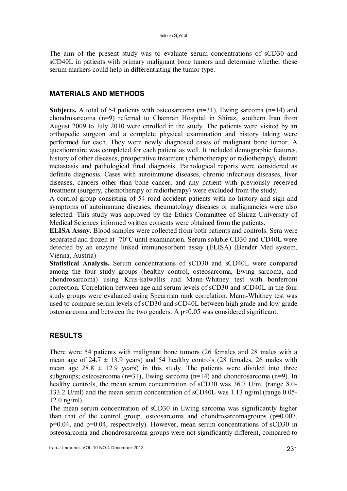The aim of the present study was to evaluate serum concentrations of sCD30 and sCD40L in patients with primary malignant bone tumors and determine whether these serum markers could help in differentiating the tumor type.

## MATERIALS AND METHODS

**Subjects.** A total of 54 patients with osteosarcoma  $(n=31)$ , Ewing sarcoma  $(n=14)$  and chondrosarcoma (n=9) referred to Chamran Hospital in Shiraz, southern Iran from August 2009 to July 2010 were enrolled in the study. The patients were visited by an orthopedic surgeon and a complete physical examination and history taking were performed for each. They were newly diagnosed cases of malignant bone tumor. A questionnaire was completed for each patient as well. It included demographic features, history of other diseases, preoperative treatment (chemotherapy or radiotherapy), distant metastasis and pathological final diagnosis. Pathological reports were considered as definite diagnosis. Cases with autoimmune diseases, chronic infectious diseases, liver diseases, cancers other than bone cancer, and any patient with previously received treatment (surgery, chemotherapy or radiotherapy) were excluded from the study.

A control group consisting of 54 road accident patients with no history and sign and symptoms of autoimmune diseases, rheumatology diseases or malignancies were also selected. This study was approved by the Ethics Committee of Shiraz University of Medical Sciences informed written consents were obtained from the patients.

ELISA Assay. Blood samples were collected from both patients and controls. Sera were separated and frozen at -70°C until examination. Serum soluble CD30 and CD40L were detected by an enzyme linked immunosorbent assay (ELISA) (Bender Med system, Vienna, Austria)

Statistical Analysis. Serum concentrations of sCD30 and sCD40L were compared among the four study groups (healthy control, osteosarcoma, Ewing sarcoma, and chondrosarcoma) using Krus-kalwallis and Mann-Whitney test with bonferroni correction. Correlation between age and serum levels of sCD30 and sCD40L in the four study groups were evaluated using Spearman rank correlation. Mann-Whitney test was used to compare serum levels of sCD30 and sCD40L between high grade and low grade osteosarcoma and between the two genders. A  $p<0.05$  was considered significant.

## RESULTS

There were 54 patients with malignant bone tumors (26 females and 28 males with a mean age of  $24.7 \pm 13.9$  years) and 54 healthy controls (28 females, 26 males with mean age  $28.8 \pm 12.9$  years) in this study. The patients were divided into three subgroups; osteosarcoma (n=31), Ewing sarcoma (n=14) and chondrosarcoma (n=9). In healthy controls, the mean serum concentration of sCD30 was 36.7 U/ml (range 8.0-133.2 U/ml) and the mean serum concentration of sCD40L was 1.13 ng/ml (range 0.05- 12.0 ng/ml).

The mean serum concentration of sCD30 in Ewing sarcoma was significantly higher than that of the control group, osteosarcoma and chondrosarcomagroups  $(p=0.007,$ p=0.04, and p=0.04, respectively). However, mean serum concentrations of sCD30 in osteosarcoma and chondrosarcoma groups were not significantly different, compared to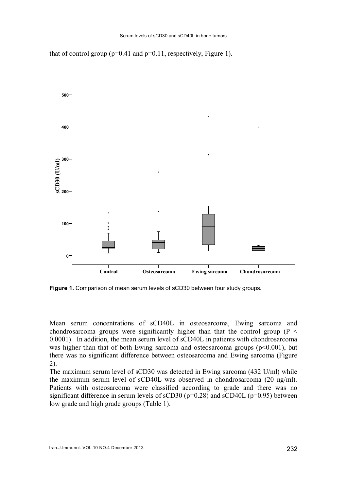that of control group ( $p=0.41$  and  $p=0.11$ , respectively, Figure 1).



Figure 1. Comparison of mean serum levels of sCD30 between four study groups.

Mean serum concentrations of sCD40L in osteosarcoma, Ewing sarcoma and chondrosarcoma groups were significantly higher than that the control group ( $P \leq$ 0.0001). In addition, the mean serum level of sCD40L in patients with chondrosarcoma was higher than that of both Ewing sarcoma and osteosarcoma groups  $(p<0.001)$ , but there was no significant difference between osteosarcoma and Ewing sarcoma (Figure 2).

The maximum serum level of sCD30 was detected in Ewing sarcoma (432 U/ml) while the maximum serum level of sCD40L was observed in chondrosarcoma (20 ng/ml). Patients with osteosarcoma were classified according to grade and there was no significant difference in serum levels of  $sCD30$  ( $p=0.28$ ) and  $sCD40L$  ( $p=0.95$ ) between low grade and high grade groups (Table 1).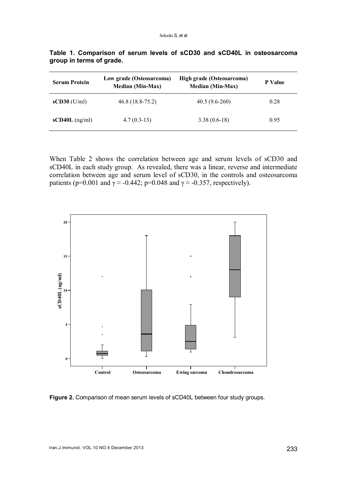| <b>Serum Protein</b> | Low grade (Osteosarcoma)<br><b>Median (Min-Max)</b> | High grade (Osteosarcoma)<br><b>Median (Min-Max)</b> | <b>P</b> Value |  |
|----------------------|-----------------------------------------------------|------------------------------------------------------|----------------|--|
| $sCD30$ (U/ml)       | $46.8(18.8-75.2)$                                   | $40.5(9.6-260)$                                      | 0.28           |  |
| $sCD40L$ (ng/ml)     | $4.7(0.3-13)$                                       | $3.38(0.6-18)$                                       | 0.95           |  |

Table 1. Comparison of serum levels of sCD30 and sCD40L in osteosarcoma group in terms of grade.

When Table 2 shows the correlation between age and serum levels of sCD30 and sCD40L in each study group. As revealed, there was a linear, reverse and intermediate correlation between age and serum level of sCD30, in the controls and osteosarcoma patients (p=0.001 and  $\gamma \approx -0.442$ ; p=0.048 and  $\gamma \approx -0.357$ , respectively).



Figure 2. Comparison of mean serum levels of sCD40L between four study groups.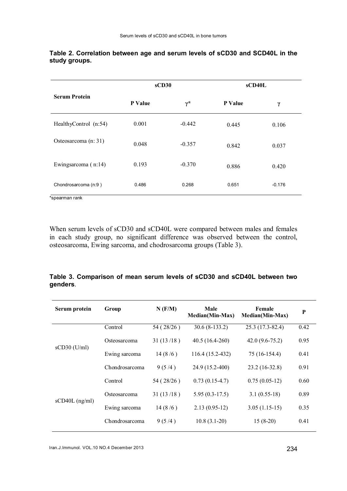|                       | sCD30          |                  | sCD40L         |          |
|-----------------------|----------------|------------------|----------------|----------|
| <b>Serum Protein</b>  | <b>P</b> Value | $\gamma^{\star}$ | <b>P</b> Value | $\gamma$ |
| HealthyControl (n:54) | 0.001          | $-0.442$         | 0.445          | 0.106    |
| Osteosarcoma (n: 31)  | 0.048          | $-0.357$         | 0.842          | 0.037    |
| Ewingsarcoma (n:14)   | 0.193          | $-0.370$         | 0.886          | 0.420    |
| Chondrosarcoma (n:9)  | 0.486          | 0.268            | 0.651          | $-0.176$ |

#### Table 2. Correlation between age and serum levels of sCD30 and SCD40L in the study groups.

\*spearman rank

When serum levels of sCD30 and sCD40L were compared between males and females in each study group, no significant difference was observed between the control, osteosarcoma, Ewing sarcoma, and chodrosarcoma groups (Table 3).

### Table 3. Comparison of mean serum levels of sCD30 and sCD40L between two genders.

| Serum protein    | Group          | $N$ ( $F/M$ ) | Male<br>Median(Min-Max) | Female<br>Median(Min-Max) | P    |
|------------------|----------------|---------------|-------------------------|---------------------------|------|
| $sCD30$ (U/ml)   | Control        | 54 (28/26)    | $30.6(8-133.2)$         | 25.3 (17.3-82.4)          | 0.42 |
|                  | Osteosarcoma   | 31(13/18)     | $40.5(16.4-260)$        | $42.0(9.6 - 75.2)$        | 0.95 |
|                  | Ewing sarcoma  | 14(8/6)       | 116.4 (15.2-432)        | 75 (16-154.4)             | 0.41 |
|                  | Chondrosarcoma | 9(5/4)        | 24.9 (15.2-400)         | $23.2(16-32.8)$           | 0.91 |
| $sCD40L$ (ng/ml) | Control        | 54 (28/26)    | $0.73(0.15-4.7)$        | $0.75(0.05-12)$           | 0.60 |
|                  | Osteosarcoma   | 31(13/18)     | $5.95(0.3-17.5)$        | $3.1(0.55-18)$            | 0.89 |
|                  | Ewing sarcoma  | 14(8/6)       | $2.13(0.95-12)$         | $3.05(1.15-15)$           | 0.35 |
|                  | Chondrosarcoma | 9(5/4)        | $10.8(3.1-20)$          | $15(8-20)$                | 0.41 |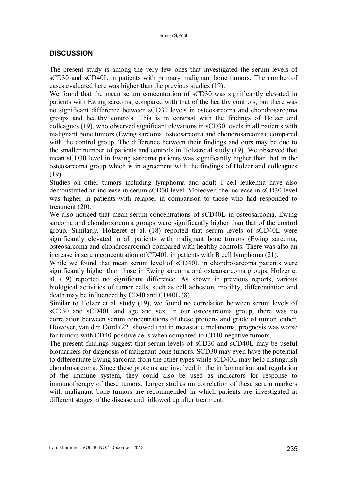## **DISCUSSION**

The present study is among the very few ones that investigated the serum levels of sCD30 and sCD40L in patients with primary malignant bone tumors. The number of cases evaluated here was higher than the previous studies (19).

We found that the mean serum concentration of sCD30 was significantly elevated in patients with Ewing sarcoma, compared with that of the healthy controls, but there was no significant difference between sCD30 levels in osteosarcoma and chondrosarcoma groups and healthy controls. This is in contrast with the findings of Holzer and colleagues (19), who observed significant elevations in sCD30 levels in all patients with malignant bone tumors (Ewing sarcoma, osteosarcoma and chondrosarcoma), compared with the control group. The difference between their findings and ours may be due to the smaller number of patients and controls in Holzeretal study (19). We observed that mean sCD30 level in Ewing sarcoma patients was significantly higher than that in the osteosarcoma group which is in agreement with the findings of Holzer and colleagues (19).

Studies on other tumors including lymphoma and adult T-cell leukemia have also demonstrated an increase in serum sCD30 level. Moreover, the increase in sCD30 level was higher in patients with relapse, in comparison to those who had responded to treatment (20).

We also noticed that mean serum concentrations of sCD40L in osteosarcoma, Ewing sarcoma and chondrosarcoma groups were significantly higher than that of the control group. Similarly, Holzeret et al. (18) reported that serum levels of sCD40L were significantly elevated in all patients with malignant bone tumors (Ewing sarcoma, osteosarcoma and chondrosarcoma) compared with healthy controls. There was also an increase in serum concentration of CD40L in patients with B cell lymphoma (21).

While we found that mean serum level of sCD40L in chondrosarcoma patients were significantly higher than those in Ewing sarcoma and osteaosarcoma groups, Holzer et al. (19) reported no significant difference. As shown in previous reports, various biological activities of tumor cells, such as cell adhesion, motility, differentiation and death may be influenced by CD40 and CD40L (8).

Similar to Holzer et al. study (19), we found no correlation between serum levels of sCD30 and sCD40L and age and sex. In our osteosarcoma group, there was no correlation between serum concentrations of these proteins and grade of tumor, either. However, van den Oord (22) showed that in metastatic melanoma, prognosis was worse for tumors with CD40-positive cells when compared to CD40-negative tumors.

The present findings suggest that serum levels of sCD30 and sCD40L may be useful biomarkers for diagnosis of malignant bone tumors. SCD30 may even have the potential to differentiate Ewing sarcoma from the other types while sCD40L may help distinguish chondrosarcoma. Since these proteins are involved in the inflammation and regulation of the immune system, they could also be used as indicators for response to immunotherapy of these tumors. Larger studies on correlation of these serum markers with malignant bone tumors are recommended in which patients are investigated at different stages of the disease and followed up after treatment.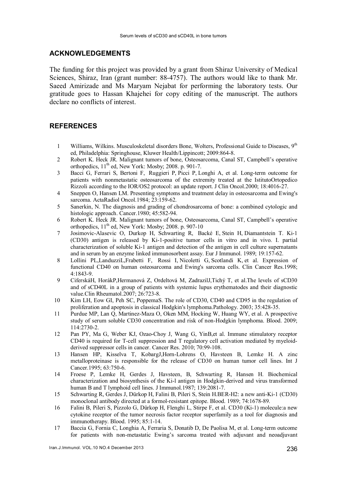#### ACKNOWLEDGEMENTS

The funding for this project was provided by a grant from Shiraz University of Medical Sciences, Shiraz, Iran (grant number: 88-4757). The authors would like to thank Mr. Saeed Amirizade and Ms Maryam Nejabat for performing the laboratory tests. Our gratitude goes to Hassan Khajehei for copy editing of the manuscript. The authors declare no conflicts of interest.

#### REFERENCES

- 1 Williams, Wilkins. Musculoskeletal disorders Bone, Wolters, Professional Guide to Diseases. 9<sup>th</sup> ed, Philadelphia: Springhouse, Kluwer Health/Lippincott; 2009:864-8.
- 2 Robert K. Heck JR. Malignant tumors of bone, Osteosarcoma, Canal ST, Campbell's operative orthopedics,  $11<sup>th</sup>$  ed, New York: Mosby; 2008. p. 901-7.
- 3 Bacci G, Ferrari S, Bertoni F, Ruggieri P, Picci P, Longhi A, et al. Long-term outcome for patients with nonmetastatic osteosarcoma of the extremity treated at the IstitutoOrtopedico Rizzoli according to the IOR/OS2 protocol: an update report. J Clin Oncol.2000; 18:4016-27.
- 4 Sneppen O, Hansen LM. Presenting symptoms and treatment delay in osteosarcoma and Ewing's sarcoma. ActaRadiol Oncol.1984; 23:159-62.
- 5 Sanerkin, N. The diagnosis and grading of chondrosarcoma of bone: a combined cytologic and histologic approach. Cancer.1980; 45:582-94.
- 6 Robert K. Heck JR. Malignant tumors of bone, Osteosarcoma, Canal ST, Campbell's operative orthopedics,  $11<sup>th</sup>$  ed, New York: Mosby; 2008. p. 907-10
- 7 Josimovic-Alasevic O, Durkop H, Schwarting R, Backé E, Stein H, Diamantstein T. Ki-1 (CD30) antigen is released by Ki-1-positive tumor cells in vitro and in vivo. I. partial characterization of soluble Ki-1 antigen and detection of the antigen in cell culture supernatants and in serum by an enzyme linked immunosorbent assay. Eur J Immunol. 1989; 19:157-62.
- 8 Lollini PL,LanduzziL,Frabetti F, Rossi I, Nicoletti G, Scotlandi K, et al. Expression of functional CD40 on human osteosarcoma and Ewing's sarcoma cells. Clin Cancer Res.1998; 4:1843-9.
- 9 CiferskáH, HorákP,Hermanová Z, Ordeltová M, ZadrazilJ,Tichý T, et al.The levels of sCD30 and of sCD40L in a group of patients with systemic lupus erythematodes and their diagnostic value.Clin Rheumatol.2007; 26:723-8.
- 10 Kim LH, Eow GI, Peh SC, PoppemaS. The role of CD30, CD40 and CD95 in the regulation of proliferation and apoptosis in classical Hodgkin's lymphoma.Pathology. 2003; 35:428-35.
- 11 Purdue MP, Lan Q, Martinez-Maza O, Oken MM, Hocking W, Huang WY, et al. A prospective study of serum soluble CD30 concentration and risk of non-Hodgkin lymphoma. Blood. 2009; 114:2730-2.
- 12 Pan PY, Ma G, Weber KJ, Ozao-Choy J, Wang G, YinB,et al. Immune stimulatory receptor CD40 is required for T-cell suppression and T regulatory cell activation mediated by myeloidderived suppressor cells in cancer. Cancer Res. 2010; 70:99-108.
- 13 Hansen HP, Kisselva T, KobargJ,Horn-Lohrens O, Havsteen B, Lemke H. A zinc metalloproteinase is responsible for the release of CD30 on human tumor cell lines. Int J Cancer.1995; 63:750-6.
- 14 Froese P, Lemke H, Gerdes J, Havsteen, B, Schwarting R, Hansen H. Biochemical characterization and biosynthesis of the Ki-l antigen in Hodgkin-derived and virus transformed human B and T lymphoid cell lines. J Immunol. 1987; 139:2081-7.
- 15 Schwarting R, Gerdes J, Dürkop H, Falini B, Pileri S, Stein H.BER-H2: a new anti-Ki-1 (CD30) monoclonal antibody directed at a formol-resistant epitope. Blood. 1989; 74:1678-89.
- 16 Falini B, Pileri S, Pizzolo G, Dürkop H, Flenghi L, Stirpe F, et al. CD30 (Ki-1) molecule:a new cytokine receptor of the tumor necrosis factor receptor superfamily as a tool for diagnosis and immunotherapy. Blood. 1995; 85:1-14.
- 17 Baccia G, Fornia C, Longhia A, Ferraria S, Donatib D, De Paolisa M, et al. Long-term outcome for patients with non-metastatic Ewing's sarcoma treated with adjuvant and neoadjuvant